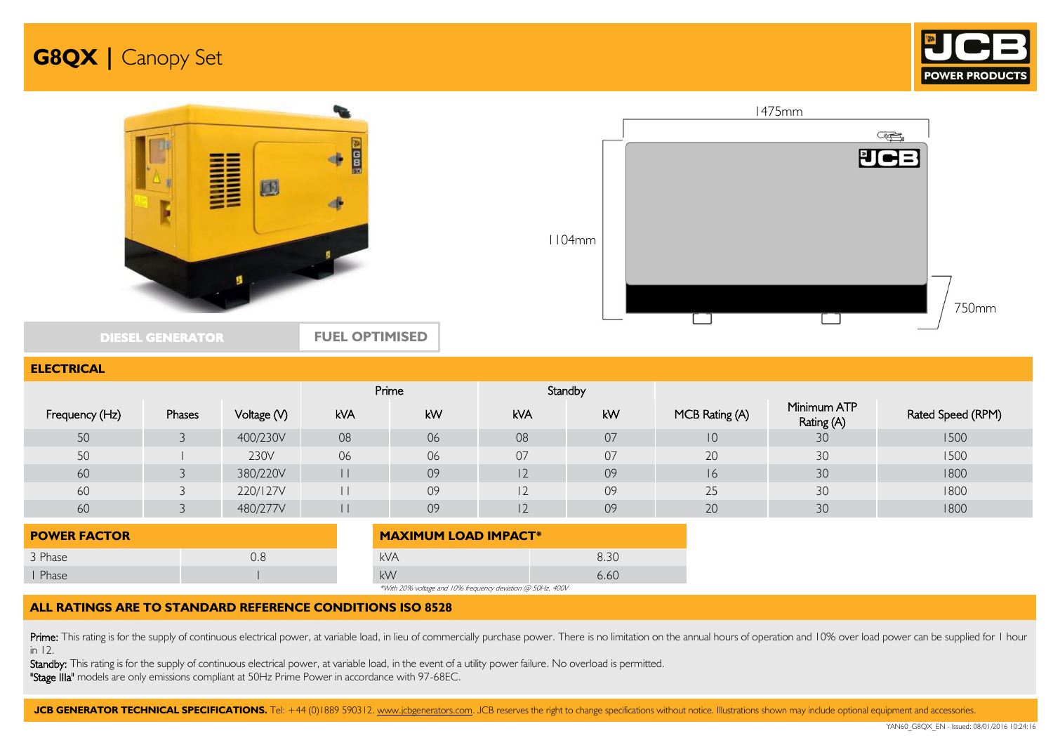



### **ELECTRICAL**

|                |        |             |            | Prime |            | Standby |                |                           |                   |
|----------------|--------|-------------|------------|-------|------------|---------|----------------|---------------------------|-------------------|
| Frequency (Hz) | Phases | Voltage (V) | <b>kVA</b> | kW    | <b>kVA</b> | kW      | MCB Rating (A) | Minimum ATP<br>Rating (A) | Rated Speed (RPM) |
| 50             |        | 400/230V    | 08         | 06    | 08         | 07      | 10             | 30                        | 1500              |
| 50             |        | 230V        | 06         | 06    | 07         | 07      | 20             | 30                        | 1500              |
| 60             |        | 380/220V    |            | 09    | 2          | 09      | 16             | 30                        | 1800              |
| 60             |        | 220/127V    |            | 09    | $\sim$     | 09      | 25             | 30                        | 1800              |
| 60             |        | 480/277V    |            | 09    | ▴          | 09      | 20             | 30                        | 1800              |

| <b>POWER FACTOR</b> |  | <b>MAXIMUM LOAD IMPACT*</b>                                                                                                                                                                                                                                    |      |
|---------------------|--|----------------------------------------------------------------------------------------------------------------------------------------------------------------------------------------------------------------------------------------------------------------|------|
| 3 Phase             |  | kVA                                                                                                                                                                                                                                                            | 8.30 |
| Phase               |  | kW                                                                                                                                                                                                                                                             | 6.60 |
|                     |  | $R_{11}R_{21}$ $R_{12}R_{22}$ $R_{13}R_{23}$ $R_{23}R_{23}$ $R_{13}R_{23}$ $R_{23}R_{23}$ $R_{23}R_{23}$ $R_{23}R_{23}$ $R_{23}R_{23}$ $R_{23}R_{23}$ $R_{23}R_{23}$ $R_{23}R_{23}$ $R_{23}R_{23}$ $R_{23}R_{23}$ $R_{23}R_{23}$ $R_{23}R_{23}$ $R_{23}R_{23}$ |      |

\*With 20% voltage and 10% frequency deviation @ 50Hz, 400V

### **ALL RATINGS ARE TO STANDARD REFERENCE CONDITIONS ISO 8528**

Prime: This rating is for the supply of continuous electrical power, at variable load, in lieu of commercially purchase power. There is no limitation on the annual hours of operation and 10% over load power can be supplied in 12.

Standby: This rating is for the supply of continuous electrical power, at variable load, in the event of a utility power failure. No overload is permitted. "Stage IIIa" models are only emissions compliant at 50Hz Prime Power in accordance with 97-68EC.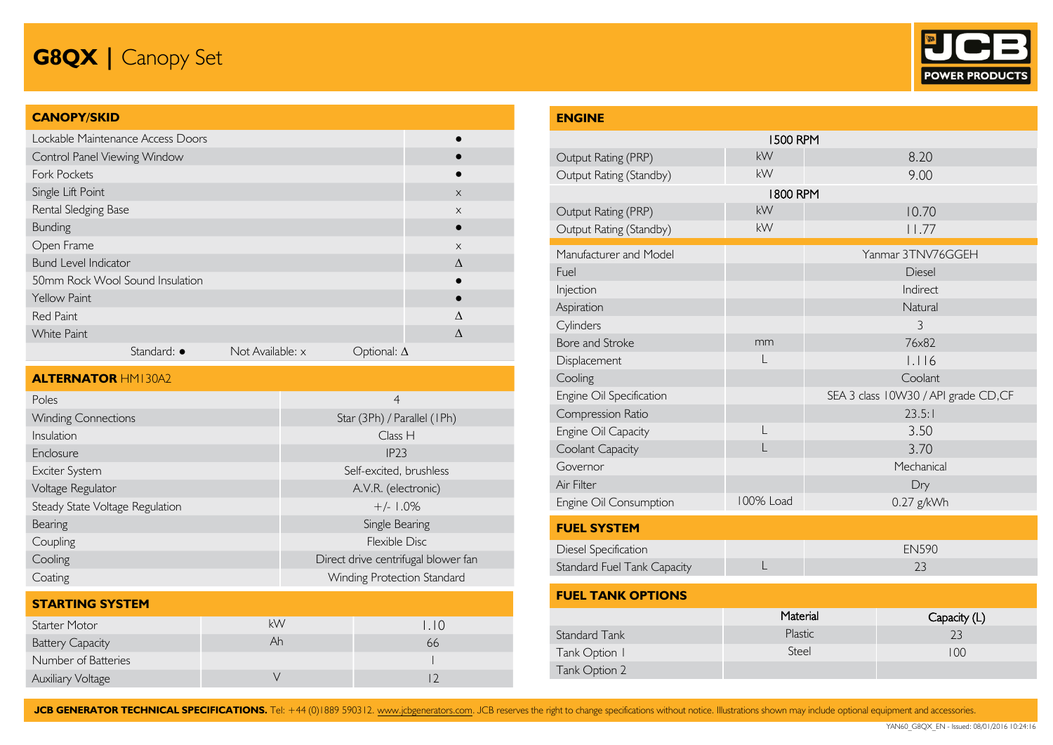

### **CANOPY/SKID**

| Lockable Maintenance Access Doors |             |                  |                    |           |
|-----------------------------------|-------------|------------------|--------------------|-----------|
| Control Panel Viewing Window      |             |                  |                    |           |
| <b>Fork Pockets</b>               |             |                  |                    |           |
| Single Lift Point                 |             |                  |                    | $\times$  |
| Rental Sledging Base              |             |                  |                    | $\times$  |
| Bunding                           |             |                  |                    |           |
| Open Frame                        |             |                  |                    | $\times$  |
| <b>Bund Level Indicator</b>       |             |                  |                    | $\Lambda$ |
| 50mm Rock Wool Sound Insulation   |             |                  |                    |           |
| Yellow Paint                      |             |                  |                    |           |
| <b>Red Paint</b>                  |             |                  |                    | Λ         |
| <b>White Paint</b>                |             |                  |                    | $\Lambda$ |
|                                   | Standard: • | Not Available: x | Optional: $\Delta$ |           |

| <b>ALTERNATOR HMI30A2</b>       |                                     |
|---------------------------------|-------------------------------------|
| Poles                           | $\overline{4}$                      |
| <b>Winding Connections</b>      | Star (3Ph) / Parallel (1Ph)         |
| Insulation                      | Class H                             |
| Enclosure                       | IP23                                |
| Exciter System                  | Self-excited, brushless             |
| Voltage Regulator               | A.V.R. (electronic)                 |
| Steady State Voltage Regulation | $+/- 1.0\%$                         |
| Bearing                         | Single Bearing                      |
| Coupling                        | Flexible Disc                       |
| Cooling                         | Direct drive centrifugal blower fan |
| Coating                         | Winding Protection Standard         |

### **STARTING SYSTEM** Starter Motor **1.10** KW 1.10 Battery Capacity **Ah 66** Number of Batteries **1** Auxiliary Voltage **V** 12

| <b>ENGINE</b>                      |                 |                                      |
|------------------------------------|-----------------|--------------------------------------|
|                                    | <b>1500 RPM</b> |                                      |
| Output Rating (PRP)                | kW              | 8.20                                 |
| Output Rating (Standby)            | kW              | 9.00                                 |
|                                    | <b>1800 RPM</b> |                                      |
| Output Rating (PRP)                | kW              | 10.70                                |
| Output Rating (Standby)            | <b>kW</b>       | 11.77                                |
| Manufacturer and Model             |                 | Yanmar 3TNV76GGEH                    |
| Fuel                               |                 | Diesel                               |
| Injection                          |                 | Indirect                             |
| Aspiration                         |                 | Natural                              |
| Cylinders                          |                 | $\overline{3}$                       |
| Bore and Stroke                    | mm              | 76x82                                |
| Displacement                       |                 | 1.116                                |
| Cooling                            |                 | Coolant                              |
| Engine Oil Specification           |                 | SEA 3 class 10W30 / API grade CD, CF |
| Compression Ratio                  |                 | 23.5:1                               |
| Engine Oil Capacity                | L               | 3.50                                 |
| Coolant Capacity                   | L               | 3.70                                 |
| Governor                           |                 | Mechanical                           |
| Air Filter                         |                 | Dry                                  |
| Engine Oil Consumption             | 100% Load       | 0.27 g/kWh                           |
| <b>FUEL SYSTEM</b>                 |                 |                                      |
| Diesel Specification               |                 | <b>EN590</b>                         |
| <b>Standard Fuel Tank Capacity</b> | L               | 23                                   |
| <b>FUEL TANK OPTIONS</b>           |                 |                                      |

|               | Material | Capacity (L) |
|---------------|----------|--------------|
| Standard Tank | Plastic  | 23           |
| Tank Option I | Steel    | 100          |
| Tank Option 2 |          |              |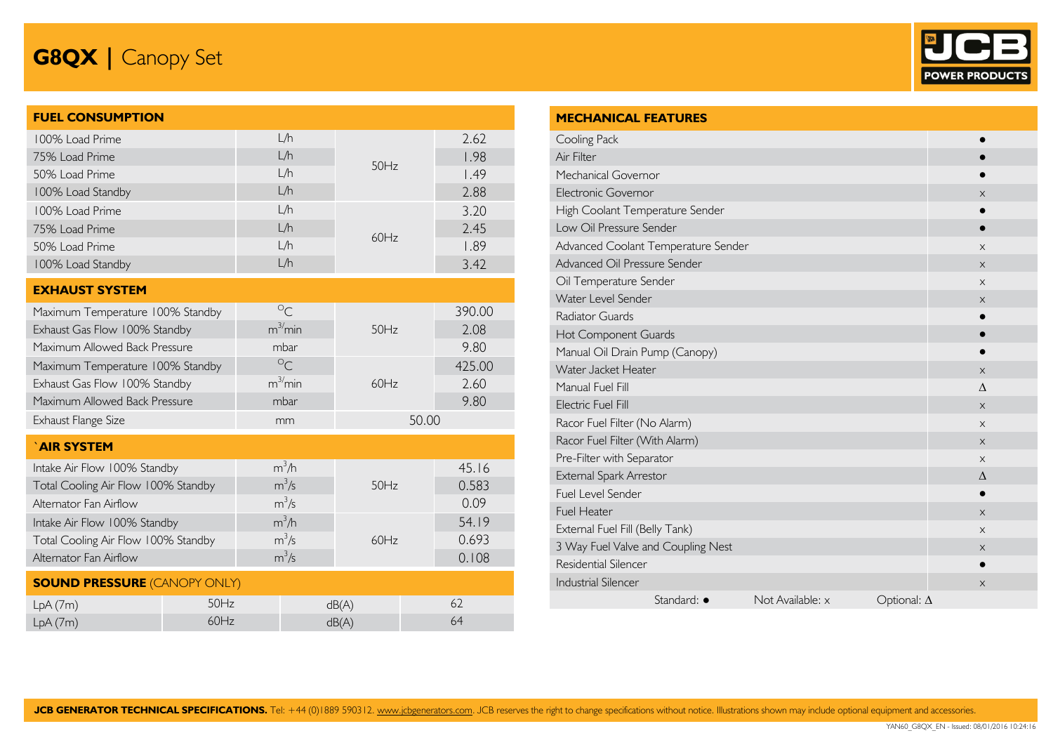

| <b>FUEL CONSUMPTION</b>             |      |                      |       |       |        |
|-------------------------------------|------|----------------------|-------|-------|--------|
| 100% Load Prime                     |      | L/h                  |       |       | 2.62   |
| 75% Load Prime                      |      | L/h                  | 50Hz  |       | 1.98   |
| 50% Load Prime                      |      | L/h                  |       |       | 1.49   |
| 100% Load Standby                   |      | L/h                  |       |       | 2.88   |
| 100% Load Prime                     |      | L/h                  |       |       | 3.20   |
| 75% Load Prime                      |      | L/h                  | 60Hz  |       | 2.45   |
| 50% Load Prime                      |      | L/h                  |       |       | 1.89   |
| 100% Load Standby                   |      | L/h                  |       |       | 3.42   |
| <b>EXHAUST SYSTEM</b>               |      |                      |       |       |        |
| Maximum Temperature 100% Standby    |      | $\circ_{C}$          |       |       | 390.00 |
| Exhaust Gas Flow 100% Standby       |      | $m^3/m$ in           | 50Hz  |       | 2.08   |
| Maximum Allowed Back Pressure       |      | mbar                 |       |       | 9.80   |
| Maximum Temperature 100% Standby    |      | $\circ_{\mathsf{C}}$ |       |       | 425.00 |
| Exhaust Gas Flow 100% Standby       |      | $m^3/m$ in           | 60Hz  |       | 2.60   |
| Maximum Allowed Back Pressure       |      | mbar                 |       |       | 9.80   |
| Exhaust Flange Size                 |      | mm                   |       | 50.00 |        |
| `AIR SYSTEM                         |      |                      |       |       |        |
| Intake Air Flow 100% Standby        |      | $m^3/h$              |       |       | 45.16  |
| Total Cooling Air Flow 100% Standby |      | $m^3/s$              | 50Hz  |       | 0.583  |
| Alternator Fan Airflow              |      | $m^3/s$              |       |       | 0.09   |
| Intake Air Flow 100% Standby        |      | $m^3/h$              |       |       | 54.19  |
| Total Cooling Air Flow 100% Standby |      | $m^3/s$              | 60Hz  |       | 0.693  |
| Alternator Fan Airflow              |      | $m^3/s$              |       |       | 0.108  |
| <b>SOUND PRESSURE (CANOPY ONLY)</b> |      |                      |       |       |        |
| LpA(7m)                             | 50Hz |                      | dB(A) |       | 62     |
| LpA(7m)                             | 60Hz |                      | dB(A) |       | 64     |

| <b>MECHANICAL FEATURES</b>          |                  |                    |          |
|-------------------------------------|------------------|--------------------|----------|
| Cooling Pack                        |                  |                    |          |
| Air Filter                          |                  |                    |          |
| Mechanical Governor                 |                  |                    |          |
| Electronic Governor                 |                  |                    | $\times$ |
| High Coolant Temperature Sender     |                  |                    |          |
| Low Oil Pressure Sender             |                  |                    | 0        |
| Advanced Coolant Temperature Sender |                  |                    | X        |
| Advanced Oil Pressure Sender        |                  |                    | $\times$ |
| Oil Temperature Sender              |                  |                    | X        |
| Water Level Sender                  |                  |                    | $\times$ |
| <b>Radiator Guards</b>              |                  |                    |          |
| Hot Component Guards                |                  |                    |          |
| Manual Oil Drain Pump (Canopy)      |                  |                    |          |
| Water Jacket Heater                 |                  |                    | X        |
| Manual Fuel Fill                    | $\wedge$         |                    |          |
| Electric Fuel Fill                  |                  |                    | $\times$ |
| Racor Fuel Filter (No Alarm)        |                  |                    | X        |
| Racor Fuel Filter (With Alarm)      |                  |                    | $\times$ |
| Pre-Filter with Separator           |                  |                    | X        |
| External Spark Arrestor             |                  |                    | Δ        |
| Fuel Level Sender                   | $\bullet$        |                    |          |
| <b>Fuel Heater</b>                  | $\times$         |                    |          |
| External Fuel Fill (Belly Tank)     | X                |                    |          |
| 3 Way Fuel Valve and Coupling Nest  | X                |                    |          |
| Residential Silencer                |                  |                    |          |
| <b>Industrial Silencer</b>          |                  |                    | X        |
| Standard: •                         | Not Available: x | Optional: $\Delta$ |          |